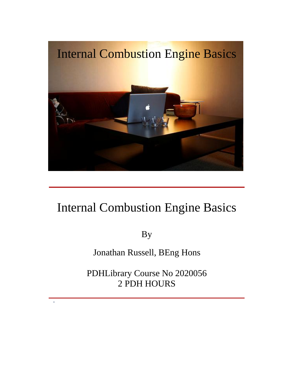

## Internal Combustion Engine Basics

By

Jonathan Russell, BEng Hons

PDHLibrary Course No 2020056 2 PDH HOURS

-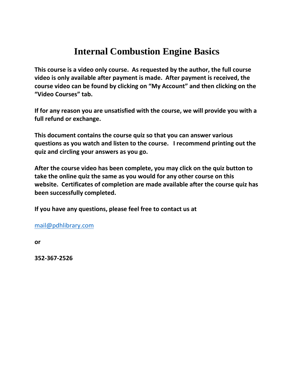## **Internal Combustion Engine Basics course is <sup>a</sup> video only course. As requested by the author, the full course**

**is Internal Combustion Engine Basics**<br> **Surse is a video only course.** As requested by the author, the full course<br>
is only available after payment is made. After payment is received, the **k**<br>**l**<br>**ourse is a video only course. As requested by the author, the full course<br><b>ouly** available after payment is made. After payment is received, the<br>video can be found by clicking on "My Account" and then clicking on **Court State Seart Seart Seart Starf**<br>Course is a video only<br>The Star Star<br>Courses" tab. **for for for for for a for for for exting the exting for for any exting on for any areas exting on for any exting course is the course video can be found by cli** This course is a video only course. As requested by the author, the full course This course is a video only co<br>video is only available after **p**<br>course video can be found by<br>"Video Courses" tab.<br>If for any reason you are uns<br>full refund or exchange. **course video can be found by clicking on "My Account" and then clicking on the "Video Courses" tab.<br>If for any reason you are unsatisfied with the course, we will provide you with a full refund or exchange.** "Video Courses" tab. **quiz**

 **as you watch and listen to the course. <sup>I</sup> recommend printing out the take**

**and <b>f** for any reason you are unsatisfied with the c<br>full refund or exchange.<br>This document contains the course quiz so that<br>questions as you watch and listen to the cours<br>quiz and circling your answers as you go. **there is a contribution of the course contribution**  $\mathbf{r}$  **contributed**  $\mathbf{r}$  **could the** fund or exchange.<br> **locument contains the course quiz so that you can answer various**<br> **locument contains the course quiz there is a standard contains the course quiz so that you can answer various<br>tions as you watch and listen to the course. I recommend printing out the<br>and circling your answers as you go.<br>The course video has been complete** This document contains the course quiz so that you can answer various ment contains the course quiz so that you can answer various<br>as you watch and listen to the course. I recommend printing out the<br>circling your answers as you go.<br>course video has been complete, you may click on the quiz bu quiz and circling your answers as you go.

**conservally consider the sum of the distinguiz and circling your answers as y<br>After the course video has been contake the online quiz the same as y<br>website. Certificates of completion<br>been successfully completed.** After the course video has been complete, you may click on the quiz button to<br>take the online quiz the same as you would for any other course on this<br>website. Certificates of completion are made available after the course take the online quiz the same as you would for any other course on this **been successfully completed.** 

If you have any questions, please feel free to contact us at

mail@pdhlibrary.com

or

352-367-2526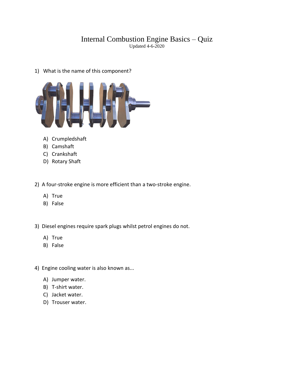## Internal Combustion Engine Basics – Quiz Updated 4-6-2020 Internal Combustion E<br>Updated 4-<br>What is the name of this component?



- 
- 
- 
- C) Crankshaft<br>D) Rotary Shaft

A) Crumpledshaft<br>
B) Camshaft<br>
C) Crankshaft<br>
D) Rotary Shaft<br>
A four-stroke engine is more efficient than a two-stroke engine. Crankshaft<br>Rotary Shaft<br>ur-stroke engi<br>True Rotary Shaft<br>ur-stroke engin<br>True<br>False 3) A four-stroke engine is more efficient than a two-stroke engine.<br>
3) True<br>
3) Diesel engines require spark plugs whilst petrol engines do not.

- A) True<br>B) False
- 
- True<br>False<br>el engines rec<br>True False<br>el engines req<br>True<br>False 4) Diesel engines require spark plugs whilst pet<br>
4) True<br>
4) Engine cooling water is also known as...
	-
	-
- A) True<br>B) False<br>Engine cooling water is<br>A) Jumper water. B) False<br>Engine cooling water is<br>A) Jumper water.<br>B) T-shirt water. <sup>-</sup><br>Fngine cooling water i<br>A) Jumper water.<br>B) T-shirt water.<br>C) Jacket water.
	-
	-
	-
	- A) Jumper water.<br>B) T-shirt water.<br>C) Jacket water.<br>D) Trouser water.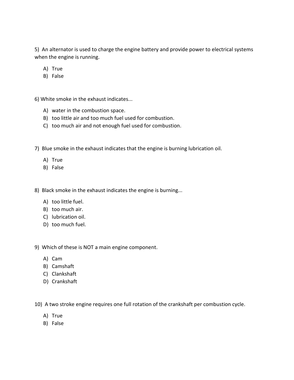An alternator is used to charge the engine battery and provide power to electrical systems **the engine of the engine is used to chargent**<br>The engine is running. lternator is us<br>ne engine is ru<br>True lternator is us<br>ne engine is ru<br>True<br>False when the engine is running. The smoke is running.<br>
A) True<br>
B) False<br>
White smoke in the exhaust indicates...

- 
- 

A) True<br>B) False<br>6) White smoke in the exhaust indicates...<br>A) water in the combustion space. 7)

- 
- B) False<br>Vhite smoke in the exhaust indicates...<br>A) water in the combustion space.<br>B) too little air and too much fuel used for combustion. e smoke in the exhaust indicates...<br>water in the combustion space.<br>too little air and too much fuel used for combustion.<br>too much air and not enough fuel used for combustion.
- B) too little air and too much fuel used for combustion.<br>C) too much air and not enough fuel used for combustion.<br>Blue smoke in the exhaust indicates that the engine is bu<br>A) True C) too much air a<br>Blue smoke in the<br>A) True<br>B) False
- A) water in the combustion space.<br>B) too little air and too much fuel used for combustion.<br>C) too much air and not enough fuel used for combustion.<br>Blue smoke in the exhaust indicates that the engine is burning lubrication 8) Blue smoke in the exhaust indicates that the engine is burning lu<br>
A) True<br>
B) False<br>
A) Black smoke in the exhaust indicates the engine is burning...
	-
	-

A) True<br>B) False<br>Black smoke in the exh<br>A) too little fuel. B) False<br>Black smoke in the exha<br>A) too little fuel.<br>B) too much air. *(
v*<br>Black smoke in the exhat<br>
(A) too little fuel.<br>
(B) too much air.<br>
(C) lubrication oil. k smoke in the exhat<br>too little fuel.<br>too much air.<br>lubrication oil.<br>too much fuel.

- 
- 
- C) lubrication oil.<br>D) too much fuel.
- too much fuel.<br>ch of these is No<br>Cam C)

A) too little fuel.<br>
B) too much air.<br>
C) lubrication oil.<br>
D) too much fuel.<br>
Which of these is NOT a main engine component. lubrication oil.<br>too much fuel.<br>ch of these is NOT a<br>Cam ch of these is NO<br>Cam<br>Camshaft<br>Clankshaft ch of these is NO<br>Cam<br>Camshaft<br>Clankshaft<br>Crankshaft

- 
- 
- 
- )<br>B) Cranl<br>A two st<br>A) True<br>B) False

A) Cam<br>B) Camshaft<br>C) Clankshaft<br>D) Crankshaft<br>A two stroke engine requires one full rotation of the crankshaft per combustion cycle. B) Camshaft<br>
C) Clankshaft<br>
D) Crankshaft<br>
10) A two stroke engine requires one full rotation of the crankshaft per combustion cycle.<br>
A) True

- 
-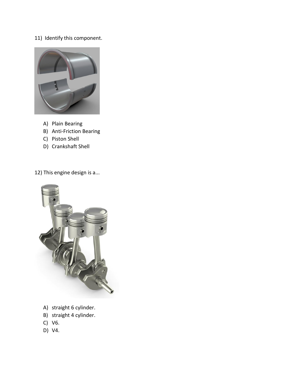## 11) Identify this component.



- 
- This engine design<br>
B) Anti-Friction Bearing<br>
C) Piston Shell<br>
D) Crankshaft Shell<br>
This engine design is a...
- 
- 



- 
- 
- 
- D) V4.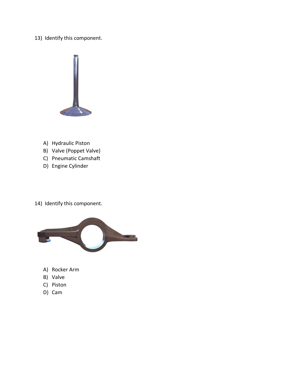13) Identify this component.



- 
- A) Hydraulic Piston<br>B) Valve (Poppet Valve)
- C) Pneumatic Camshaft<br>D) Engine Cylinder
- 
- C) Pneumatic Camshaft<br>D) Engine Cylinder<br>Identifv this component.



- 
- B) Valve<br>C) Piston<br>D) Cam
- 
-